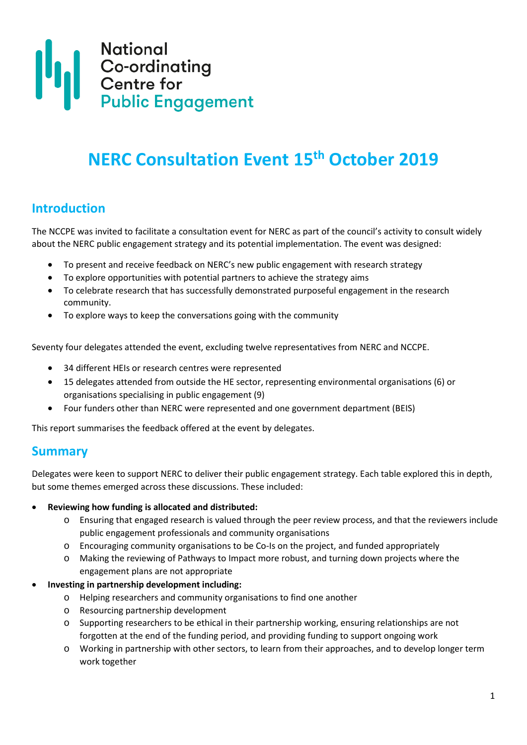

# **NERC Consultation Event 15th October 2019**

## **Introduction**

The NCCPE was invited to facilitate a consultation event for NERC as part of the council's activity to consult widely about the NERC public engagement strategy and its potential implementation. The event was designed:

- To present and receive feedback on NERC's new public engagement with research strategy
- To explore opportunities with potential partners to achieve the strategy aims
- To celebrate research that has successfully demonstrated purposeful engagement in the research community.
- To explore ways to keep the conversations going with the community

Seventy four delegates attended the event, excluding twelve representatives from NERC and NCCPE.

- 34 different HEIs or research centres were represented
- 15 delegates attended from outside the HE sector, representing environmental organisations (6) or organisations specialising in public engagement (9)
- Four funders other than NERC were represented and one government department (BEIS)

This report summarises the feedback offered at the event by delegates.

## **Summary**

Delegates were keen to support NERC to deliver their public engagement strategy. Each table explored this in depth, but some themes emerged across these discussions. These included:

#### • **Reviewing how funding is allocated and distributed:**

- o Ensuring that engaged research is valued through the peer review process, and that the reviewers include public engagement professionals and community organisations
- o Encouraging community organisations to be Co-Is on the project, and funded appropriately
- o Making the reviewing of Pathways to Impact more robust, and turning down projects where the engagement plans are not appropriate
- **Investing in partnership development including:**
	- o Helping researchers and community organisations to find one another
	- o Resourcing partnership development
	- o Supporting researchers to be ethical in their partnership working, ensuring relationships are not forgotten at the end of the funding period, and providing funding to support ongoing work
	- o Working in partnership with other sectors, to learn from their approaches, and to develop longer term work together